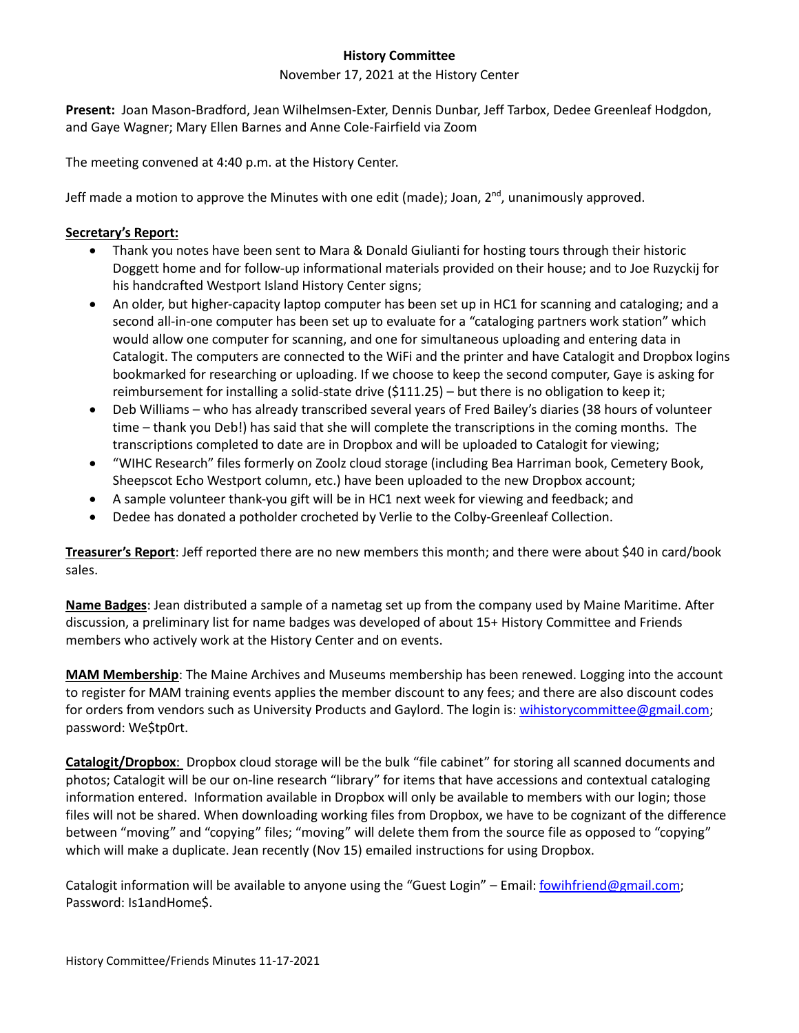## **History Committee**

## November 17, 2021 at the History Center

**Present:** Joan Mason-Bradford, Jean Wilhelmsen-Exter, Dennis Dunbar, Jeff Tarbox, Dedee Greenleaf Hodgdon, and Gaye Wagner; Mary Ellen Barnes and Anne Cole-Fairfield via Zoom

The meeting convened at 4:40 p.m. at the History Center.

Jeff made a motion to approve the Minutes with one edit (made); Joan, 2<sup>nd</sup>, unanimously approved.

## **Secretary's Report:**

- Thank you notes have been sent to Mara & Donald Giulianti for hosting tours through their historic Doggett home and for follow-up informational materials provided on their house; and to Joe Ruzyckij for his handcrafted Westport Island History Center signs;
- An older, but higher-capacity laptop computer has been set up in HC1 for scanning and cataloging; and a second all-in-one computer has been set up to evaluate for a "cataloging partners work station" which would allow one computer for scanning, and one for simultaneous uploading and entering data in Catalogit. The computers are connected to the WiFi and the printer and have Catalogit and Dropbox logins bookmarked for researching or uploading. If we choose to keep the second computer, Gaye is asking for reimbursement for installing a solid-state drive (\$111.25) – but there is no obligation to keep it;
- Deb Williams who has already transcribed several years of Fred Bailey's diaries (38 hours of volunteer time – thank you Deb!) has said that she will complete the transcriptions in the coming months. The transcriptions completed to date are in Dropbox and will be uploaded to Catalogit for viewing;
- "WIHC Research" files formerly on Zoolz cloud storage (including Bea Harriman book, Cemetery Book, Sheepscot Echo Westport column, etc.) have been uploaded to the new Dropbox account;
- A sample volunteer thank-you gift will be in HC1 next week for viewing and feedback; and
- Dedee has donated a potholder crocheted by Verlie to the Colby-Greenleaf Collection.

**Treasurer's Report**: Jeff reported there are no new members this month; and there were about \$40 in card/book sales.

**Name Badges**: Jean distributed a sample of a nametag set up from the company used by Maine Maritime. After discussion, a preliminary list for name badges was developed of about 15+ History Committee and Friends members who actively work at the History Center and on events.

**MAM Membership**: The Maine Archives and Museums membership has been renewed. Logging into the account to register for MAM training events applies the member discount to any fees; and there are also discount codes for orders from vendors such as University Products and Gaylord. The login is: [wihistorycommittee@gmail.com;](mailto:wihistorycommittee@gmail.com) password: We\$tp0rt.

**Catalogit/Dropbox**: Dropbox cloud storage will be the bulk "file cabinet" for storing all scanned documents and photos; Catalogit will be our on-line research "library" for items that have accessions and contextual cataloging information entered. Information available in Dropbox will only be available to members with our login; those files will not be shared. When downloading working files from Dropbox, we have to be cognizant of the difference between "moving" and "copying" files; "moving" will delete them from the source file as opposed to "copying" which will make a duplicate. Jean recently (Nov 15) emailed instructions for using Dropbox.

Catalogit information will be available to anyone using the "Guest Login" - Email: *fowihfriend@gmail.com*; Password: Is1andHome\$.